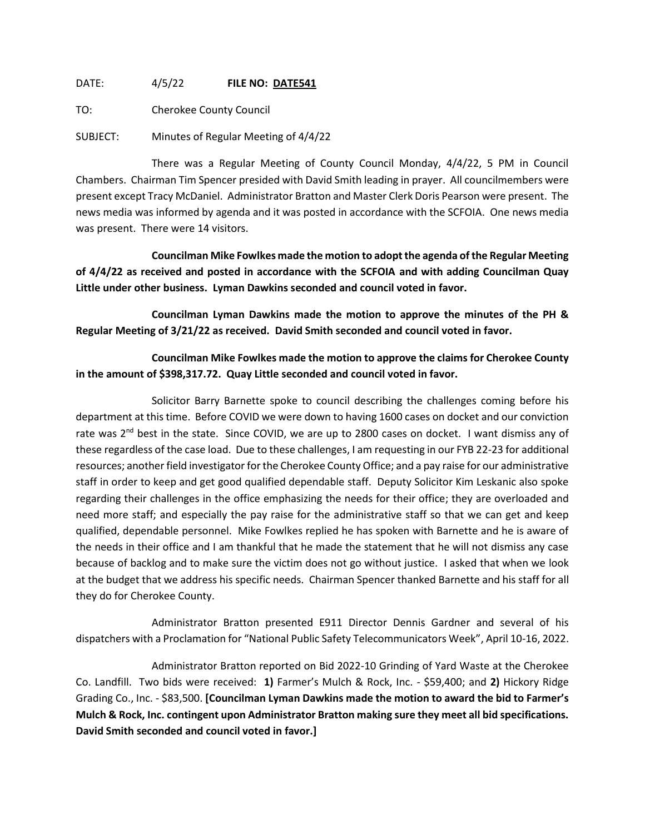DATE: 4/5/22 **FILE NO: DATE541**

TO: Cherokee County Council

SUBJECT: Minutes of Regular Meeting of 4/4/22

There was a Regular Meeting of County Council Monday, 4/4/22, 5 PM in Council Chambers. Chairman Tim Spencer presided with David Smith leading in prayer. All councilmembers were present except Tracy McDaniel. Administrator Bratton and Master Clerk Doris Pearson were present. The news media was informed by agenda and it was posted in accordance with the SCFOIA. One news media was present. There were 14 visitors.

**Councilman Mike Fowlkes made the motion to adopt the agenda of the Regular Meeting of 4/4/22 as received and posted in accordance with the SCFOIA and with adding Councilman Quay Little under other business. Lyman Dawkins seconded and council voted in favor.**

**Councilman Lyman Dawkins made the motion to approve the minutes of the PH & Regular Meeting of 3/21/22 as received. David Smith seconded and council voted in favor.**

**Councilman Mike Fowlkes made the motion to approve the claims for Cherokee County in the amount of \$398,317.72. Quay Little seconded and council voted in favor.**

Solicitor Barry Barnette spoke to council describing the challenges coming before his department at this time. Before COVID we were down to having 1600 cases on docket and our conviction rate was  $2<sup>nd</sup>$  best in the state. Since COVID, we are up to 2800 cases on docket. I want dismiss any of these regardless of the case load. Due to these challenges, I am requesting in our FYB 22-23 for additional resources; another field investigator for the Cherokee County Office; and a pay raise for our administrative staff in order to keep and get good qualified dependable staff. Deputy Solicitor Kim Leskanic also spoke regarding their challenges in the office emphasizing the needs for their office; they are overloaded and need more staff; and especially the pay raise for the administrative staff so that we can get and keep qualified, dependable personnel. Mike Fowlkes replied he has spoken with Barnette and he is aware of the needs in their office and I am thankful that he made the statement that he will not dismiss any case because of backlog and to make sure the victim does not go without justice. I asked that when we look at the budget that we address his specific needs. Chairman Spencer thanked Barnette and his staff for all they do for Cherokee County.

Administrator Bratton presented E911 Director Dennis Gardner and several of his dispatchers with a Proclamation for "National Public Safety Telecommunicators Week", April 10-16, 2022.

Administrator Bratton reported on Bid 2022-10 Grinding of Yard Waste at the Cherokee Co. Landfill. Two bids were received: **1)** Farmer's Mulch & Rock, Inc. - \$59,400; and **2)** Hickory Ridge Grading Co., Inc. - \$83,500. **[Councilman Lyman Dawkins made the motion to award the bid to Farmer's Mulch & Rock, Inc. contingent upon Administrator Bratton making sure they meet all bid specifications. David Smith seconded and council voted in favor.]**